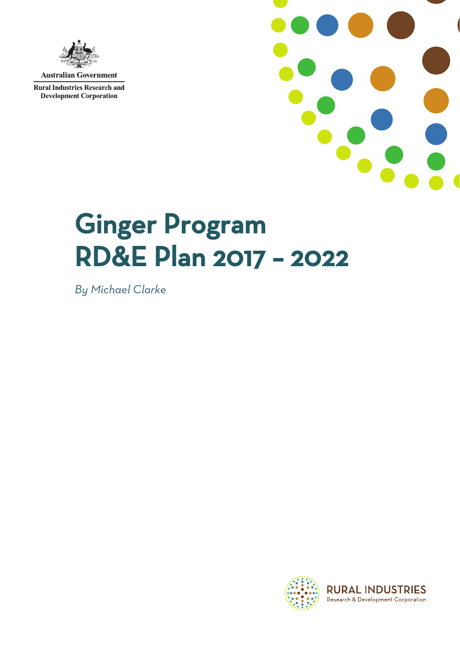

**Australian Government** 

**Rural Industries Research and Development Corporation** 



# Ginger Program RD&E Plan 2017 – 2022

*By Michael Clarke*

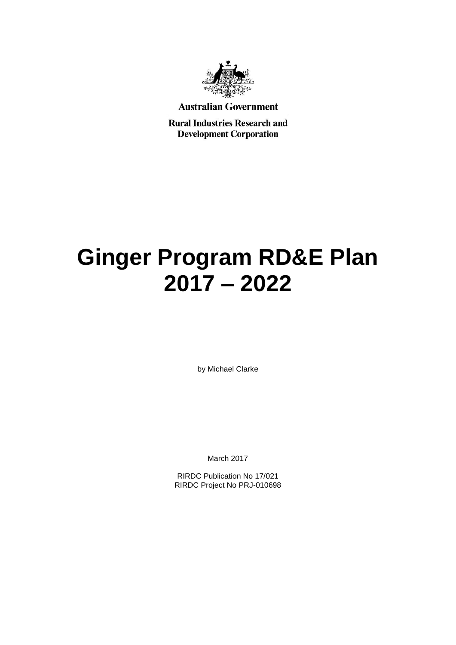

#### **Australian Government**

**Rural Industries Research and Development Corporation** 

## **Ginger Program RD&E Plan 2017 – 2022**

by Michael Clarke

March 2017

RIRDC Publication No 17/021 RIRDC Project No PRJ-010698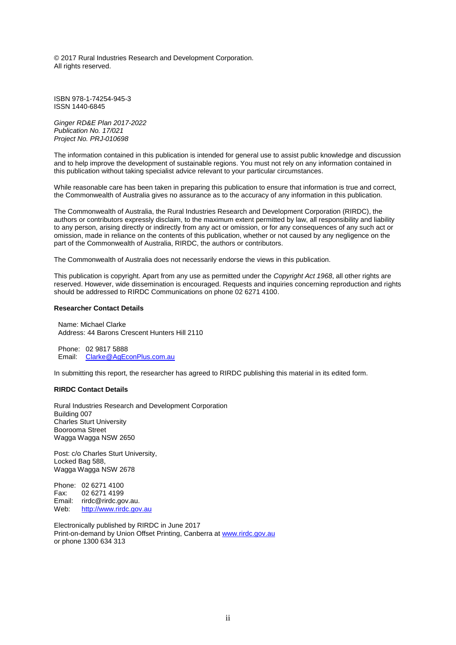© 2017 Rural Industries Research and Development Corporation. All rights reserved.

ISBN 978-1-74254-945-3 ISSN 1440-6845

*Ginger RD&E Plan 2017-2022 Publication No. 17/021 Project No. PRJ-010698*

The information contained in this publication is intended for general use to assist public knowledge and discussion and to help improve the development of sustainable regions. You must not rely on any information contained in this publication without taking specialist advice relevant to your particular circumstances.

While reasonable care has been taken in preparing this publication to ensure that information is true and correct, the Commonwealth of Australia gives no assurance as to the accuracy of any information in this publication.

The Commonwealth of Australia, the Rural Industries Research and Development Corporation (RIRDC), the authors or contributors expressly disclaim, to the maximum extent permitted by law, all responsibility and liability to any person, arising directly or indirectly from any act or omission, or for any consequences of any such act or omission, made in reliance on the contents of this publication, whether or not caused by any negligence on the part of the Commonwealth of Australia, RIRDC, the authors or contributors.

The Commonwealth of Australia does not necessarily endorse the views in this publication.

This publication is copyright. Apart from any use as permitted under the *Copyright Act 1968*, all other rights are reserved. However, wide dissemination is encouraged. Requests and inquiries concerning reproduction and rights should be addressed to RIRDC Communications on phone 02 6271 4100.

#### **Researcher Contact Details**

Name: Michael Clarke Address: 44 Barons Crescent Hunters Hill 2110

Phone: 02 9817 5888 Email: [Clarke@AgEconPlus.com.au](mailto:Clarke@AgEconPlus.com.au)

In submitting this report, the researcher has agreed to RIRDC publishing this material in its edited form.

#### **RIRDC Contact Details**

Rural Industries Research and Development Corporation Building 007 Charles Sturt University Boorooma Street Wagga Wagga NSW 2650

Post: c/o Charles Sturt University, Locked Bag 588, Wagga Wagga NSW 2678

Phone: 02 6271 4100 Fax: 02 6271 4199 Email: rirdc@rirdc.gov.au.<br>Web: http://www.rirdc.gov [http://www.rirdc.gov.au](http://www.rirdc.gov.au/)

Electronically published by RIRDC in June 2017 Print-on-demand by Union Offset Printing, Canberra at [www.rirdc.gov.au](http://www.rirdc.gov.au/) or phone 1300 634 313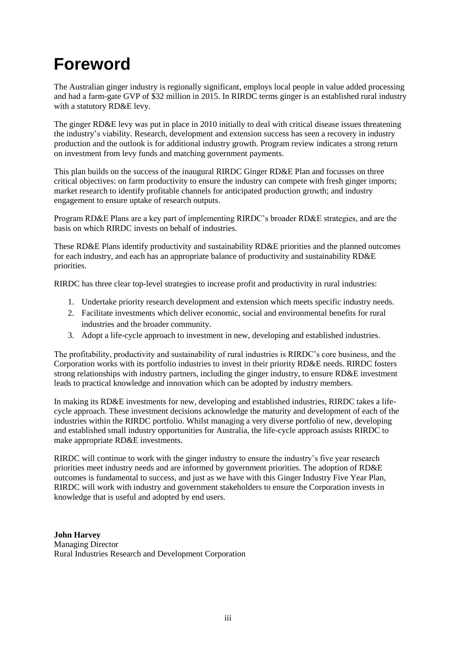## **Foreword**

The Australian ginger industry is regionally significant, employs local people in value added processing and had a farm-gate GVP of \$32 million in 2015. In RIRDC terms ginger is an established rural industry with a statutory RD&E levy.

The ginger RD&E levy was put in place in 2010 initially to deal with critical disease issues threatening the industry's viability. Research, development and extension success has seen a recovery in industry production and the outlook is for additional industry growth. Program review indicates a strong return on investment from levy funds and matching government payments.

This plan builds on the success of the inaugural RIRDC Ginger RD&E Plan and focusses on three critical objectives: on farm productivity to ensure the industry can compete with fresh ginger imports; market research to identify profitable channels for anticipated production growth; and industry engagement to ensure uptake of research outputs.

Program RD&E Plans are a key part of implementing RIRDC's broader RD&E strategies, and are the basis on which RIRDC invests on behalf of industries.

These RD&E Plans identify productivity and sustainability RD&E priorities and the planned outcomes for each industry, and each has an appropriate balance of productivity and sustainability RD&E priorities.

RIRDC has three clear top-level strategies to increase profit and productivity in rural industries:

- 1. Undertake priority research development and extension which meets specific industry needs.
- 2. Facilitate investments which deliver economic, social and environmental benefits for rural industries and the broader community.
- 3. Adopt a life-cycle approach to investment in new, developing and established industries.

The profitability, productivity and sustainability of rural industries is RIRDC's core business, and the Corporation works with its portfolio industries to invest in their priority RD&E needs. RIRDC fosters strong relationships with industry partners, including the ginger industry, to ensure RD&E investment leads to practical knowledge and innovation which can be adopted by industry members.

In making its RD&E investments for new, developing and established industries, RIRDC takes a lifecycle approach. These investment decisions acknowledge the maturity and development of each of the industries within the RIRDC portfolio. Whilst managing a very diverse portfolio of new, developing and established small industry opportunities for Australia, the life-cycle approach assists RIRDC to make appropriate RD&E investments.

RIRDC will continue to work with the ginger industry to ensure the industry's five year research priorities meet industry needs and are informed by government priorities. The adoption of RD&E outcomes is fundamental to success, and just as we have with this Ginger Industry Five Year Plan, RIRDC will work with industry and government stakeholders to ensure the Corporation invests in knowledge that is useful and adopted by end users.

**John Harvey** Managing Director Rural Industries Research and Development Corporation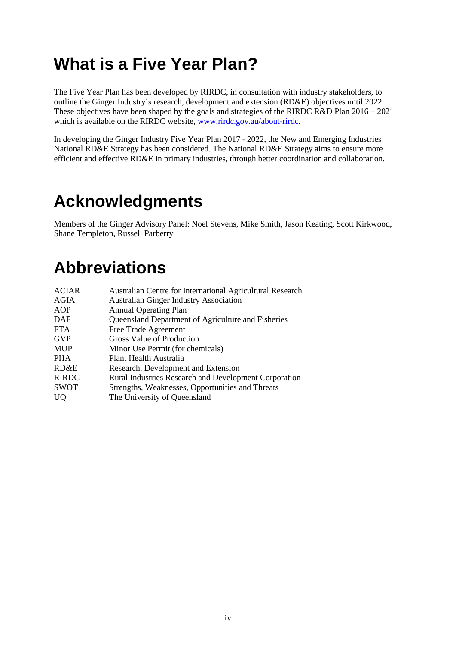## **What is a Five Year Plan?**

The Five Year Plan has been developed by RIRDC, in consultation with industry stakeholders, to outline the Ginger Industry's research, development and extension (RD&E) objectives until 2022. These objectives have been shaped by the goals and strategies of the RIRDC R&D Plan 2016 – 2021 which is available on the RIRDC website, [www.rirdc.gov.au/about-rirdc.](http://www.rirdc.gov.au/about-rirdc)

In developing the Ginger Industry Five Year Plan 2017 - 2022, the New and Emerging Industries National RD&E Strategy has been considered. The National RD&E Strategy aims to ensure more efficient and effective RD&E in primary industries, through better coordination and collaboration.

## **Acknowledgments**

Members of the Ginger Advisory Panel: Noel Stevens, Mike Smith, Jason Keating, Scott Kirkwood, Shane Templeton, Russell Parberry

## **Abbreviations**

| <b>ACIAR</b> | Australian Centre for International Agricultural Research    |
|--------------|--------------------------------------------------------------|
| AGIA         | <b>Australian Ginger Industry Association</b>                |
| AOP          | <b>Annual Operating Plan</b>                                 |
| DAF          | Queensland Department of Agriculture and Fisheries           |
| <b>FTA</b>   | Free Trade Agreement                                         |
| <b>GVP</b>   | Gross Value of Production                                    |
| <b>MUP</b>   | Minor Use Permit (for chemicals)                             |
| <b>PHA</b>   | Plant Health Australia                                       |
| RD&E         | Research, Development and Extension                          |
| <b>RIRDC</b> | <b>Rural Industries Research and Development Corporation</b> |
| <b>SWOT</b>  | Strengths, Weaknesses, Opportunities and Threats             |
| <b>UQ</b>    | The University of Queensland                                 |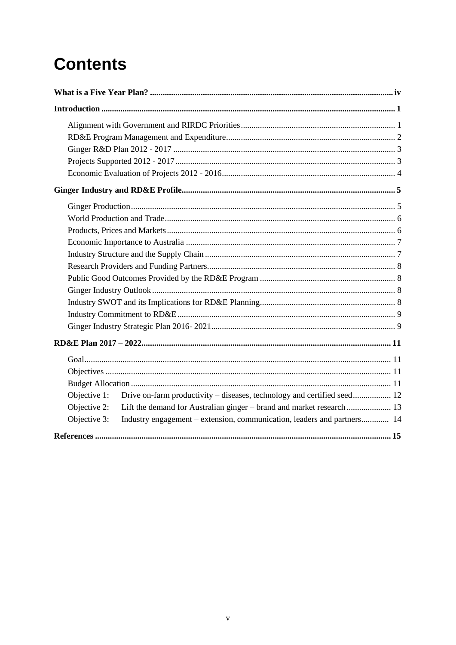## **Contents**

| Objective 1:<br>Drive on-farm productivity – diseases, technology and certified seed 12<br>Objective 2:<br>Industry engagement – extension, communication, leaders and partners 14<br>Objective 3: |
|----------------------------------------------------------------------------------------------------------------------------------------------------------------------------------------------------|
|                                                                                                                                                                                                    |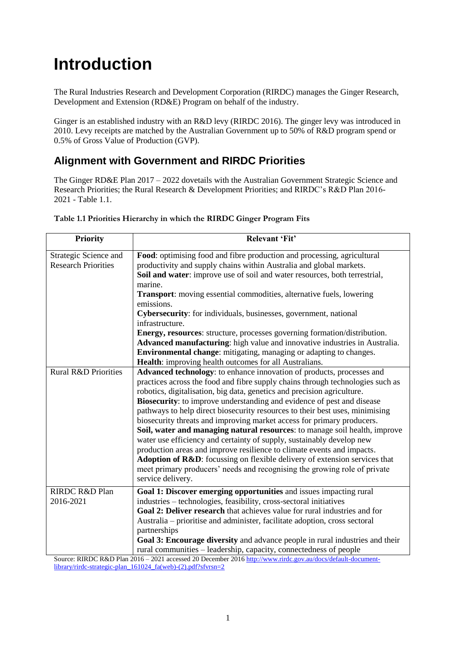## **Introduction**

The Rural Industries Research and Development Corporation (RIRDC) manages the Ginger Research, Development and Extension (RD&E) Program on behalf of the industry.

Ginger is an established industry with an R&D levy (RIRDC 2016). The ginger levy was introduced in 2010. Levy receipts are matched by the Australian Government up to 50% of R&D program spend or 0.5% of Gross Value of Production (GVP).

## **Alignment with Government and RIRDC Priorities**

The Ginger RD&E Plan 2017 – 2022 dovetails with the Australian Government Strategic Science and Research Priorities; the Rural Research & Development Priorities; and RIRDC's R&D Plan 2016- 2021 - Table 1.1.

| <b>Priority</b>                 | Relevant 'Fit'                                                                                                                      |
|---------------------------------|-------------------------------------------------------------------------------------------------------------------------------------|
| Strategic Science and           | Food: optimising food and fibre production and processing, agricultural                                                             |
| <b>Research Priorities</b>      | productivity and supply chains within Australia and global markets.                                                                 |
|                                 | Soil and water: improve use of soil and water resources, both terrestrial,<br>marine.                                               |
|                                 | <b>Transport:</b> moving essential commodities, alternative fuels, lowering<br>emissions.                                           |
|                                 | <b>Cybersecurity:</b> for individuals, businesses, government, national<br>infrastructure.                                          |
|                                 | Energy, resources: structure, processes governing formation/distribution.                                                           |
|                                 | Advanced manufacturing: high value and innovative industries in Australia.                                                          |
|                                 | <b>Environmental change:</b> mitigating, managing or adapting to changes.<br>Health: improving health outcomes for all Australians. |
| <b>Rural R&amp;D Priorities</b> | Advanced technology: to enhance innovation of products, processes and                                                               |
|                                 | practices across the food and fibre supply chains through technologies such as                                                      |
|                                 | robotics, digitalisation, big data, genetics and precision agriculture.                                                             |
|                                 | <b>Biosecurity:</b> to improve understanding and evidence of pest and disease                                                       |
|                                 | pathways to help direct biosecurity resources to their best uses, minimising                                                        |
|                                 | biosecurity threats and improving market access for primary producers.                                                              |
|                                 | Soil, water and managing natural resources: to manage soil health, improve                                                          |
|                                 | water use efficiency and certainty of supply, sustainably develop new                                                               |
|                                 | production areas and improve resilience to climate events and impacts.                                                              |
|                                 | Adoption of R&D: focussing on flexible delivery of extension services that                                                          |
|                                 | meet primary producers' needs and recognising the growing role of private<br>service delivery.                                      |
| RIRDC R&D Plan                  | Goal 1: Discover emerging opportunities and issues impacting rural                                                                  |
| 2016-2021                       | industries – technologies, feasibility, cross-sectoral initiatives                                                                  |
|                                 | Goal 2: Deliver research that achieves value for rural industries and for                                                           |
|                                 | Australia – prioritise and administer, facilitate adoption, cross sectoral                                                          |
|                                 | partnerships                                                                                                                        |
|                                 | Goal 3: Encourage diversity and advance people in rural industries and their                                                        |
|                                 | rural communities – leadership, capacity, connectedness of people                                                                   |

**Table 1.1 Priorities Hierarchy in which the RIRDC Ginger Program Fits** 

Source: RIRDC R&D Plan 2016 – 2021 accessed 20 December 2016 [http://www.rirdc.gov.au/docs/default-document](http://www.rirdc.gov.au/docs/default-document-library/rirdc-strategic-plan_161024_fa(web)-(2).pdf?sfvrsn=2)[library/rirdc-strategic-plan\\_161024\\_fa\(web\)-\(2\).pdf?sfvrsn=2](http://www.rirdc.gov.au/docs/default-document-library/rirdc-strategic-plan_161024_fa(web)-(2).pdf?sfvrsn=2)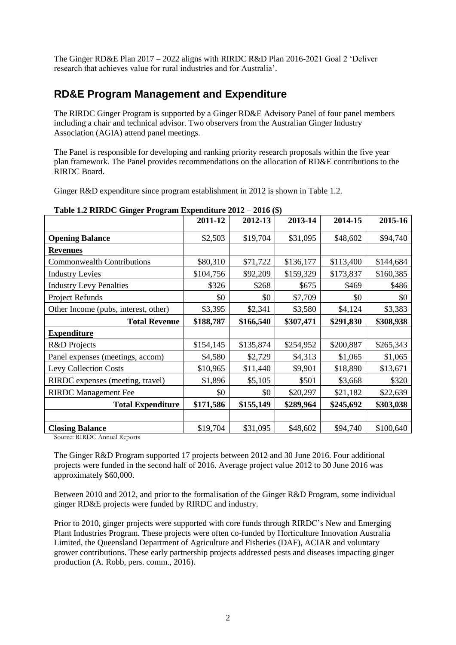The Ginger RD&E Plan 2017 – 2022 aligns with RIRDC R&D Plan 2016-2021 Goal 2 'Deliver research that achieves value for rural industries and for Australia'.

### **RD&E Program Management and Expenditure**

The RIRDC Ginger Program is supported by a Ginger RD&E Advisory Panel of four panel members including a chair and technical advisor. Two observers from the Australian Ginger Industry Association (AGIA) attend panel meetings.

The Panel is responsible for developing and ranking priority research proposals within the five year plan framework. The Panel provides recommendations on the allocation of RD&E contributions to the RIRDC Board.

Ginger R&D expenditure since program establishment in 2012 is shown in Table 1.2.

|                                      | 2011-12   | 2012-13   | 2013-14   | 2014-15   | 2015-16   |
|--------------------------------------|-----------|-----------|-----------|-----------|-----------|
| <b>Opening Balance</b>               | \$2,503   | \$19,704  | \$31,095  | \$48,602  | \$94,740  |
| <b>Revenues</b>                      |           |           |           |           |           |
| <b>Commonwealth Contributions</b>    | \$80,310  | \$71,722  | \$136,177 | \$113,400 | \$144,684 |
| <b>Industry Levies</b>               | \$104,756 | \$92,209  | \$159,329 | \$173,837 | \$160,385 |
| <b>Industry Levy Penalties</b>       | \$326     | \$268     | \$675     | \$469     | \$486     |
| Project Refunds                      | \$0       | \$0       | \$7,709   | \$0       | \$0       |
| Other Income (pubs, interest, other) | \$3,395   | \$2,341   | \$3,580   | \$4,124   | \$3,383   |
| <b>Total Revenue</b>                 | \$188,787 | \$166,540 | \$307,471 | \$291,830 | \$308,938 |
| <b>Expenditure</b>                   |           |           |           |           |           |
| R&D Projects                         | \$154,145 | \$135,874 | \$254,952 | \$200,887 | \$265,343 |
| Panel expenses (meetings, accom)     | \$4,580   | \$2,729   | \$4,313   | \$1,065   | \$1,065   |
| <b>Levy Collection Costs</b>         | \$10,965  | \$11,440  | \$9,901   | \$18,890  | \$13,671  |
| RIRDC expenses (meeting, travel)     | \$1,896   | \$5,105   | \$501     | \$3,668   | \$320     |
| <b>RIRDC</b> Management Fee          | \$0       | \$0       | \$20,297  | \$21,182  | \$22,639  |
| <b>Total Expenditure</b>             | \$171,586 | \$155,149 | \$289,964 | \$245,692 | \$303,038 |
|                                      |           |           |           |           |           |
| <b>Closing Balance</b>               | \$19,704  | \$31,095  | \$48,602  | \$94,740  | \$100,640 |

**Table 1.2 RIRDC Ginger Program Expenditure 2012 – 2016 (\$)**

Source: RIRDC Annual Reports

The Ginger R&D Program supported 17 projects between 2012 and 30 June 2016. Four additional projects were funded in the second half of 2016. Average project value 2012 to 30 June 2016 was approximately \$60,000.

Between 2010 and 2012, and prior to the formalisation of the Ginger R&D Program, some individual ginger RD&E projects were funded by RIRDC and industry.

Prior to 2010, ginger projects were supported with core funds through RIRDC's New and Emerging Plant Industries Program. These projects were often co-funded by Horticulture Innovation Australia Limited, the Queensland Department of Agriculture and Fisheries (DAF), ACIAR and voluntary grower contributions. These early partnership projects addressed pests and diseases impacting ginger production (A. Robb, pers. comm., 2016).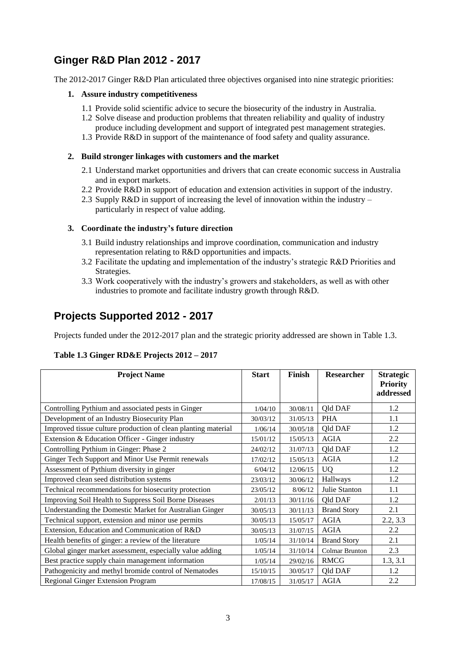## **Ginger R&D Plan 2012 - 2017**

The 2012-2017 Ginger R&D Plan articulated three objectives organised into nine strategic priorities:

#### **1. Assure industry competitiveness**

- 1.1 Provide solid scientific advice to secure the biosecurity of the industry in Australia.
- 1.2 Solve disease and production problems that threaten reliability and quality of industry produce including development and support of integrated pest management strategies.
- 1.3 Provide R&D in support of the maintenance of food safety and quality assurance.

#### **2. Build stronger linkages with customers and the market**

- 2.1 Understand market opportunities and drivers that can create economic success in Australia and in export markets.
- 2.2 Provide R&D in support of education and extension activities in support of the industry.
- 2.3 Supply R&D in support of increasing the level of innovation within the industry particularly in respect of value adding.

#### **3. Coordinate the industry's future direction**

- 3.1 Build industry relationships and improve coordination, communication and industry representation relating to R&D opportunities and impacts.
- 3.2 Facilitate the updating and implementation of the industry's strategic R&D Priorities and Strategies.
- 3.3 Work cooperatively with the industry's growers and stakeholders, as well as with other industries to promote and facilitate industry growth through R&D.

## **Projects Supported 2012 - 2017**

Projects funded under the 2012-2017 plan and the strategic priority addressed are shown in Table 1.3.

#### **Table 1.3 Ginger RD&E Projects 2012 – 2017**

| <b>Project Name</b>                                           | <b>Start</b> | Finish   | Researcher            | <b>Strategic</b><br><b>Priority</b><br>addressed |
|---------------------------------------------------------------|--------------|----------|-----------------------|--------------------------------------------------|
| Controlling Pythium and associated pests in Ginger            | 1/04/10      | 30/08/11 | <b>Qld DAF</b>        | 1.2                                              |
| Development of an Industry Biosecurity Plan                   | 30/03/12     | 31/05/13 | <b>PHA</b>            | 1.1                                              |
| Improved tissue culture production of clean planting material | 1/06/14      | 30/05/18 | <b>Qld DAF</b>        | 1.2                                              |
| Extension & Education Officer - Ginger industry               | 15/01/12     | 15/05/13 | <b>AGIA</b>           | 2.2                                              |
| Controlling Pythium in Ginger: Phase 2                        | 24/02/12     | 31/07/13 | <b>Qld DAF</b>        | 1.2                                              |
| Ginger Tech Support and Minor Use Permit renewals             | 17/02/12     | 15/05/13 | <b>AGIA</b>           | 1.2                                              |
| Assessment of Pythium diversity in ginger                     | 6/04/12      | 12/06/15 | <b>UQ</b>             | 1.2                                              |
| Improved clean seed distribution systems                      | 23/03/12     | 30/06/12 | Hallways              | 1.2                                              |
| Technical recommendations for biosecurity protection          | 23/05/12     | 8/06/12  | Julie Stanton         | 1.1                                              |
| Improving Soil Health to Suppress Soil Borne Diseases         | 2/01/13      | 30/11/16 | Qld DAF               | 1.2                                              |
| Understanding the Domestic Market for Australian Ginger       | 30/05/13     | 30/11/13 | <b>Brand Story</b>    | 2.1                                              |
| Technical support, extension and minor use permits            | 30/05/13     | 15/05/17 | <b>AGIA</b>           | 2.2, 3.3                                         |
| Extension, Education and Communication of R&D                 | 30/05/13     | 31/07/15 | <b>AGIA</b>           | 2.2                                              |
| Health benefits of ginger: a review of the literature         | 1/05/14      | 31/10/14 | <b>Brand Story</b>    | 2.1                                              |
| Global ginger market assessment, especially value adding      | 1/05/14      | 31/10/14 | <b>Colmar Brunton</b> | 2.3                                              |
| Best practice supply chain management information             | 1/05/14      | 29/02/16 | <b>RMCG</b>           | 1.3, 3.1                                         |
| Pathogenicity and methyl bromide control of Nematodes         | 15/10/15     | 30/05/17 | <b>Qld DAF</b>        | 1.2                                              |
| <b>Regional Ginger Extension Program</b>                      | 17/08/15     | 31/05/17 | <b>AGIA</b>           | 2.2                                              |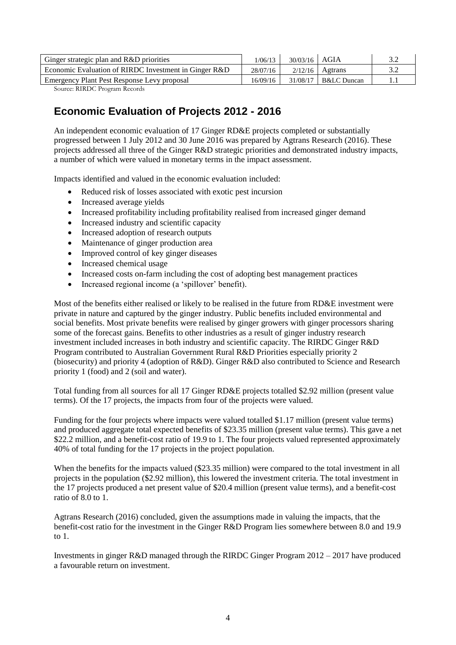| Ginger strategic plan and R&D priorities              | 1/06/13  | $30/03/16$ AGIA |                        |  |
|-------------------------------------------------------|----------|-----------------|------------------------|--|
| Economic Evaluation of RIRDC Investment in Ginger R&D | 28/07/16 |                 | $2/12/16$ Agtrans      |  |
| Emergency Plant Pest Response Levy proposal           | 16/09/16 |                 | $31/08/17$ B&LC Duncan |  |

Source: RIRDC Program Records

## **Economic Evaluation of Projects 2012 - 2016**

An independent economic evaluation of 17 Ginger RD&E projects completed or substantially progressed between 1 July 2012 and 30 June 2016 was prepared by Agtrans Research (2016). These projects addressed all three of the Ginger R&D strategic priorities and demonstrated industry impacts, a number of which were valued in monetary terms in the impact assessment.

Impacts identified and valued in the economic evaluation included:

- Reduced risk of losses associated with exotic pest incursion
- Increased average yields
- Increased profitability including profitability realised from increased ginger demand
- Increased industry and scientific capacity
- Increased adoption of research outputs
- Maintenance of ginger production area
- Improved control of key ginger diseases
- Increased chemical usage
- Increased costs on-farm including the cost of adopting best management practices
- Increased regional income (a 'spillover' benefit).

Most of the benefits either realised or likely to be realised in the future from RD&E investment were private in nature and captured by the ginger industry. Public benefits included environmental and social benefits. Most private benefits were realised by ginger growers with ginger processors sharing some of the forecast gains. Benefits to other industries as a result of ginger industry research investment included increases in both industry and scientific capacity. The RIRDC Ginger R&D Program contributed to Australian Government Rural R&D Priorities especially priority 2 (biosecurity) and priority 4 (adoption of R&D). Ginger R&D also contributed to Science and Research priority 1 (food) and 2 (soil and water).

Total funding from all sources for all 17 Ginger RD&E projects totalled \$2.92 million (present value terms). Of the 17 projects, the impacts from four of the projects were valued.

Funding for the four projects where impacts were valued totalled \$1.17 million (present value terms) and produced aggregate total expected benefits of \$23.35 million (present value terms). This gave a net \$22.2 million, and a benefit-cost ratio of 19.9 to 1. The four projects valued represented approximately 40% of total funding for the 17 projects in the project population.

When the benefits for the impacts valued (\$23.35 million) were compared to the total investment in all projects in the population (\$2.92 million), this lowered the investment criteria. The total investment in the 17 projects produced a net present value of \$20.4 million (present value terms), and a benefit-cost ratio of 8.0 to 1.

Agtrans Research (2016) concluded, given the assumptions made in valuing the impacts, that the benefit-cost ratio for the investment in the Ginger R&D Program lies somewhere between 8.0 and 19.9 to 1.

Investments in ginger R&D managed through the RIRDC Ginger Program 2012 – 2017 have produced a favourable return on investment.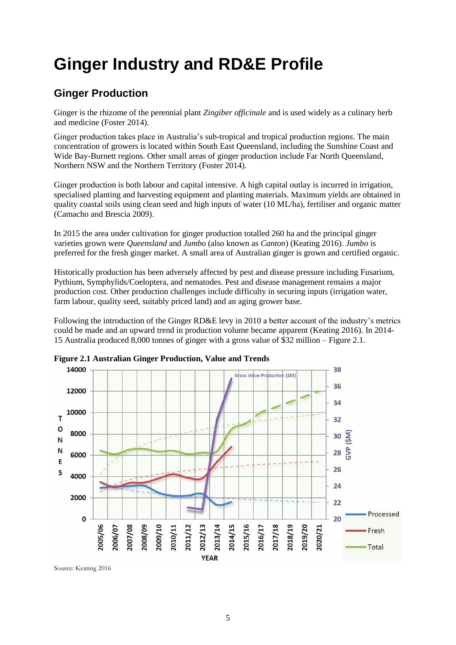## **Ginger Industry and RD&E Profile**

## **Ginger Production**

Ginger is the rhizome of the perennial plant *Zingiber officinale* and is used widely as a culinary herb and medicine (Foster 2014).

Ginger production takes place in Australia's sub-tropical and tropical production regions. The main concentration of growers is located within South East Queensland, including the Sunshine Coast and Wide Bay-Burnett regions. Other small areas of ginger production include Far North Queensland, Northern NSW and the Northern Territory (Foster 2014).

Ginger production is both labour and capital intensive. A high capital outlay is incurred in irrigation, specialised planting and harvesting equipment and planting materials. Maximum yields are obtained in quality coastal soils using clean seed and high inputs of water (10 ML/ha), fertiliser and organic matter (Camacho and Brescia 2009).

In 2015 the area under cultivation for ginger production totalled 260 ha and the principal ginger varieties grown were *Queensland* and *Jumbo* (also known as *Canton*) (Keating 2016). *Jumbo* is preferred for the fresh ginger market. A small area of Australian ginger is grown and certified organic.

Historically production has been adversely affected by pest and disease pressure including Fusarium, Pythium, Symphylids/Coeloptera, and nematodes. Pest and disease management remains a major production cost. Other production challenges include difficulty in securing inputs (irrigation water, farm labour, quality seed, suitably priced land) and an aging grower base.

Following the introduction of the Ginger RD&E levy in 2010 a better account of the industry's metrics could be made and an upward trend in production volume became apparent (Keating 2016). In 2014- 15 Australia produced 8,000 tonnes of ginger with a gross value of \$32 million – Figure 2.1.



**Figure 2.1 Australian Ginger Production, Value and Trends**

Source: Keating 2016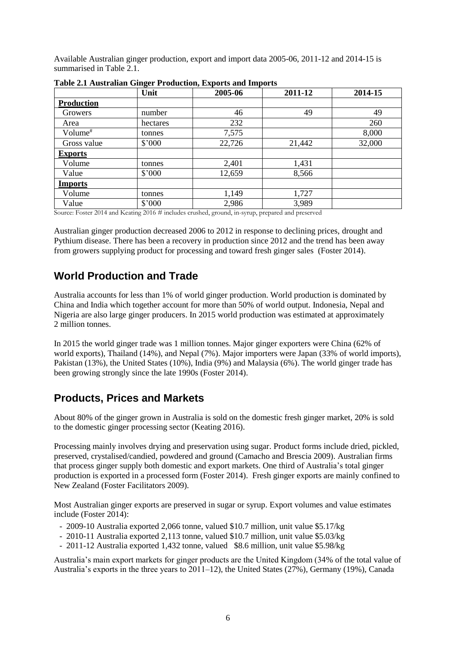Available Australian ginger production, export and import data 2005-06, 2011-12 and 2014-15 is summarised in Table 2.1.

|                                             | Unit                      | 2005-06                          | 2011-12                                            | 2014-15 |
|---------------------------------------------|---------------------------|----------------------------------|----------------------------------------------------|---------|
| <b>Production</b>                           |                           |                                  |                                                    |         |
| Growers                                     | number                    | 46                               | 49                                                 | 49      |
| Area                                        | hectares                  | 232                              |                                                    | 260     |
| Volume <sup>#</sup>                         | tonnes                    | 7,575                            |                                                    | 8,000   |
| Gross value                                 | \$'000                    | 22,726                           | 21,442                                             | 32,000  |
| <b>Exports</b>                              |                           |                                  |                                                    |         |
| Volume                                      | tonnes                    | 2,401                            | 1,431                                              |         |
| Value                                       | \$'000                    | 12,659                           | 8,566                                              |         |
| <b>Imports</b>                              |                           |                                  |                                                    |         |
| Volume                                      | tonnes                    | 1,149                            | 1,727                                              |         |
| Value<br>$0.044 - 117$<br>$\alpha$ $\alpha$ | \$'000<br>$0.042 \pm 1.1$ | 2,986<br>$\cdots$<br>$1 \quad 1$ | 3,989<br>$\mathbf{1}$ $\mathbf{1}$<br>$\mathbf{1}$ |         |

**Table 2.1 Australian Ginger Production, Exports and Imports**

Source: Foster 2014 and Keating 2016 # includes crushed, ground, in-syrup, prepared and preserved

Australian ginger production decreased 2006 to 2012 in response to declining prices, drought and Pythium disease. There has been a recovery in production since 2012 and the trend has been away from growers supplying product for processing and toward fresh ginger sales (Foster 2014).

### **World Production and Trade**

Australia accounts for less than 1% of world ginger production. World production is dominated by China and India which together account for more than 50% of world output. Indonesia, Nepal and Nigeria are also large ginger producers. In 2015 world production was estimated at approximately 2 million tonnes.

In 2015 the world ginger trade was 1 million tonnes. Major ginger exporters were China (62% of world exports), Thailand (14%), and Nepal (7%). Major importers were Japan (33% of world imports), Pakistan (13%), the United States (10%), India (9%) and Malaysia (6%). The world ginger trade has been growing strongly since the late 1990s (Foster 2014).

### **Products, Prices and Markets**

About 80% of the ginger grown in Australia is sold on the domestic fresh ginger market, 20% is sold to the domestic ginger processing sector (Keating 2016).

Processing mainly involves drying and preservation using sugar. Product forms include dried, pickled, preserved, crystalised/candied, powdered and ground (Camacho and Brescia 2009). Australian firms that process ginger supply both domestic and export markets. One third of Australia's total ginger production is exported in a processed form (Foster 2014). Fresh ginger exports are mainly confined to New Zealand (Foster Facilitators 2009).

Most Australian ginger exports are preserved in sugar or syrup. Export volumes and value estimates include (Foster 2014):

- 2009-10 Australia exported 2,066 tonne, valued \$10.7 million, unit value \$5.17/kg
- 2010-11 Australia exported 2,113 tonne, valued \$10.7 million, unit value \$5.03/kg
- 2011-12 Australia exported 1,432 tonne, valued \$8.6 million, unit value \$5.98/kg

Australia's main export markets for ginger products are the United Kingdom (34% of the total value of Australia's exports in the three years to 2011–12), the United States (27%), Germany (19%), Canada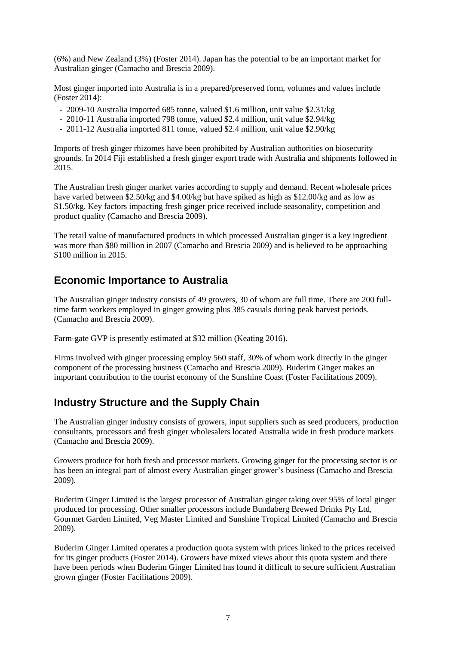(6%) and New Zealand (3%) (Foster 2014). Japan has the potential to be an important market for Australian ginger (Camacho and Brescia 2009).

Most ginger imported into Australia is in a prepared/preserved form, volumes and values include (Foster 2014):

- 2009-10 Australia imported 685 tonne, valued \$1.6 million, unit value \$2.31/kg
- 2010-11 Australia imported 798 tonne, valued \$2.4 million, unit value \$2.94/kg
- 2011-12 Australia imported 811 tonne, valued \$2.4 million, unit value \$2.90/kg

Imports of fresh ginger rhizomes have been prohibited by Australian authorities on biosecurity grounds. In 2014 Fiji established a fresh ginger export trade with Australia and shipments followed in 2015.

The Australian fresh ginger market varies according to supply and demand. Recent wholesale prices have varied between \$2.50/kg and \$4.00/kg but have spiked as high as \$12.00/kg and as low as \$1.50/kg. Key factors impacting fresh ginger price received include seasonality, competition and product quality (Camacho and Brescia 2009).

The retail value of manufactured products in which processed Australian ginger is a key ingredient was more than \$80 million in 2007 (Camacho and Brescia 2009) and is believed to be approaching \$100 million in 2015.

### **Economic Importance to Australia**

The Australian ginger industry consists of 49 growers, 30 of whom are full time. There are 200 fulltime farm workers employed in ginger growing plus 385 casuals during peak harvest periods. (Camacho and Brescia 2009).

Farm-gate GVP is presently estimated at \$32 million (Keating 2016).

Firms involved with ginger processing employ 560 staff, 30% of whom work directly in the ginger component of the processing business (Camacho and Brescia 2009). Buderim Ginger makes an important contribution to the tourist economy of the Sunshine Coast (Foster Facilitations 2009).

### **Industry Structure and the Supply Chain**

The Australian ginger industry consists of growers, input suppliers such as seed producers, production consultants, processors and fresh ginger wholesalers located Australia wide in fresh produce markets (Camacho and Brescia 2009).

Growers produce for both fresh and processor markets. Growing ginger for the processing sector is or has been an integral part of almost every Australian ginger grower's business (Camacho and Brescia 2009).

Buderim Ginger Limited is the largest processor of Australian ginger taking over 95% of local ginger produced for processing. Other smaller processors include Bundaberg Brewed Drinks Pty Ltd, Gourmet Garden Limited, Veg Master Limited and Sunshine Tropical Limited (Camacho and Brescia 2009).

Buderim Ginger Limited operates a production quota system with prices linked to the prices received for its ginger products (Foster 2014). Growers have mixed views about this quota system and there have been periods when Buderim Ginger Limited has found it difficult to secure sufficient Australian grown ginger (Foster Facilitations 2009).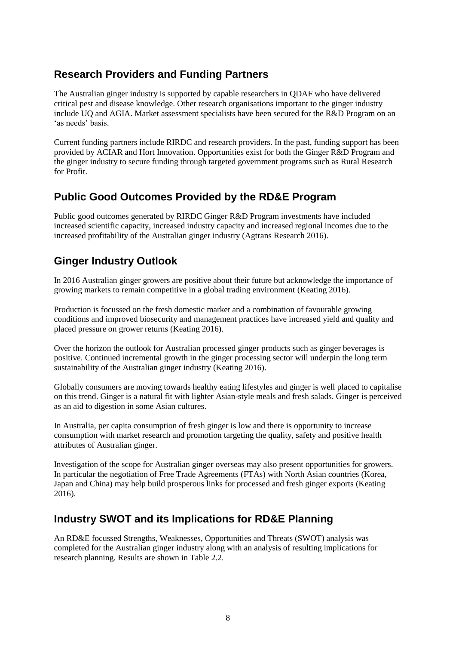## **Research Providers and Funding Partners**

The Australian ginger industry is supported by capable researchers in QDAF who have delivered critical pest and disease knowledge. Other research organisations important to the ginger industry include UQ and AGIA. Market assessment specialists have been secured for the R&D Program on an 'as needs' basis.

Current funding partners include RIRDC and research providers. In the past, funding support has been provided by ACIAR and Hort Innovation. Opportunities exist for both the Ginger R&D Program and the ginger industry to secure funding through targeted government programs such as Rural Research for Profit.

## **Public Good Outcomes Provided by the RD&E Program**

Public good outcomes generated by RIRDC Ginger R&D Program investments have included increased scientific capacity, increased industry capacity and increased regional incomes due to the increased profitability of the Australian ginger industry (Agtrans Research 2016).

## **Ginger Industry Outlook**

In 2016 Australian ginger growers are positive about their future but acknowledge the importance of growing markets to remain competitive in a global trading environment (Keating 2016).

Production is focussed on the fresh domestic market and a combination of favourable growing conditions and improved biosecurity and management practices have increased yield and quality and placed pressure on grower returns (Keating 2016).

Over the horizon the outlook for Australian processed ginger products such as ginger beverages is positive. Continued incremental growth in the ginger processing sector will underpin the long term sustainability of the Australian ginger industry (Keating 2016).

Globally consumers are moving towards healthy eating lifestyles and ginger is well placed to capitalise on this trend. Ginger is a natural fit with lighter Asian-style meals and fresh salads. Ginger is perceived as an aid to digestion in some Asian cultures.

In Australia, per capita consumption of fresh ginger is low and there is opportunity to increase consumption with market research and promotion targeting the quality, safety and positive health attributes of Australian ginger.

Investigation of the scope for Australian ginger overseas may also present opportunities for growers. In particular the negotiation of Free Trade Agreements (FTAs) with North Asian countries (Korea, Japan and China) may help build prosperous links for processed and fresh ginger exports (Keating 2016).

### **Industry SWOT and its Implications for RD&E Planning**

An RD&E focussed Strengths, Weaknesses, Opportunities and Threats (SWOT) analysis was completed for the Australian ginger industry along with an analysis of resulting implications for research planning. Results are shown in Table 2.2.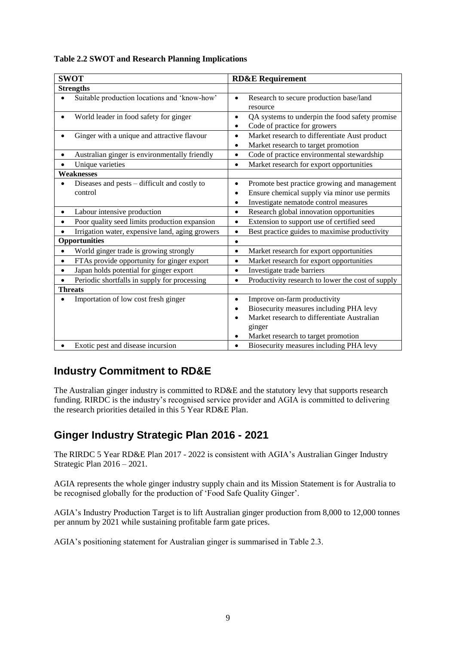| <b>SWOT</b>                                                | <b>RD&amp;E Requirement</b>                                                                                                                                                               |
|------------------------------------------------------------|-------------------------------------------------------------------------------------------------------------------------------------------------------------------------------------------|
| <b>Strengths</b>                                           |                                                                                                                                                                                           |
| Suitable production locations and 'know-how'<br>$\bullet$  | Research to secure production base/land<br>$\bullet$<br>resource                                                                                                                          |
| World leader in food safety for ginger<br>$\bullet$        | QA systems to underpin the food safety promise<br>$\bullet$<br>Code of practice for growers<br>$\bullet$                                                                                  |
| Ginger with a unique and attractive flavour<br>$\bullet$   | Market research to differentiate Aust product<br>$\bullet$<br>Market research to target promotion<br>$\bullet$                                                                            |
| Australian ginger is environmentally friendly<br>$\bullet$ | Code of practice environmental stewardship<br>$\bullet$                                                                                                                                   |
| Unique varieties<br>$\bullet$                              | Market research for export opportunities<br>$\bullet$                                                                                                                                     |
| <b>Weaknesses</b>                                          |                                                                                                                                                                                           |
| Diseases and pests - difficult and costly to<br>control    | Promote best practice growing and management<br>$\bullet$<br>Ensure chemical supply via minor use permits<br>٠<br>Investigate nematode control measures<br>٠                              |
| Labour intensive production<br>$\bullet$                   | Research global innovation opportunities<br>$\bullet$                                                                                                                                     |
| Poor quality seed limits production expansion<br>$\bullet$ | Extension to support use of certified seed<br>$\bullet$                                                                                                                                   |
| Irrigation water, expensive land, aging growers            | Best practice guides to maximise productivity<br>$\bullet$                                                                                                                                |
| Opportunities                                              | $\bullet$                                                                                                                                                                                 |
| World ginger trade is growing strongly<br>$\bullet$        | Market research for export opportunities<br>$\bullet$                                                                                                                                     |
| FTAs provide opportunity for ginger export<br>$\bullet$    | Market research for export opportunities<br>$\bullet$                                                                                                                                     |
| Japan holds potential for ginger export<br>$\bullet$       | Investigate trade barriers<br>$\bullet$                                                                                                                                                   |
| Periodic shortfalls in supply for processing               | Productivity research to lower the cost of supply<br>$\bullet$                                                                                                                            |
| <b>Threats</b>                                             |                                                                                                                                                                                           |
| Importation of low cost fresh ginger                       | Improve on-farm productivity<br>$\bullet$<br>Biosecurity measures including PHA levy<br>٠<br>Market research to differentiate Australian<br>ginger<br>Market research to target promotion |
| Exotic pest and disease incursion                          | Biosecurity measures including PHA levy<br>$\bullet$                                                                                                                                      |

#### **Table 2.2 SWOT and Research Planning Implications**

## **Industry Commitment to RD&E**

The Australian ginger industry is committed to RD&E and the statutory levy that supports research funding. RIRDC is the industry's recognised service provider and AGIA is committed to delivering the research priorities detailed in this 5 Year RD&E Plan.

### **Ginger Industry Strategic Plan 2016 - 2021**

The RIRDC 5 Year RD&E Plan 2017 - 2022 is consistent with AGIA's Australian Ginger Industry Strategic Plan 2016 – 2021.

AGIA represents the whole ginger industry supply chain and its Mission Statement is for Australia to be recognised globally for the production of 'Food Safe Quality Ginger'.

AGIA's Industry Production Target is to lift Australian ginger production from 8,000 to 12,000 tonnes per annum by 2021 while sustaining profitable farm gate prices.

AGIA's positioning statement for Australian ginger is summarised in Table 2.3.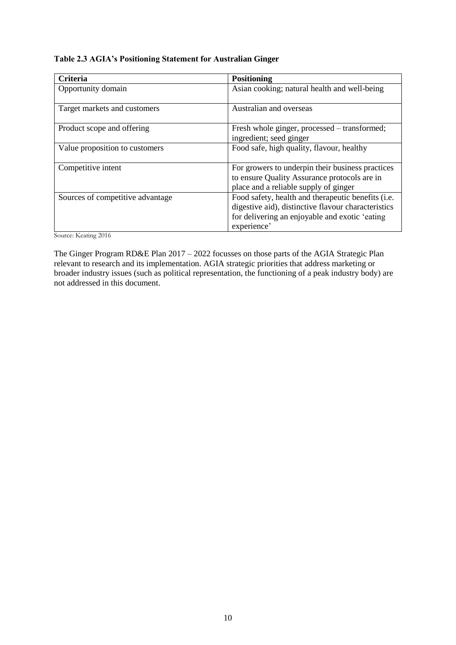#### **Table 2.3 AGIA's Positioning Statement for Australian Ginger**

| <b>Criteria</b>                  | <b>Positioning</b>                                  |
|----------------------------------|-----------------------------------------------------|
| Opportunity domain               | Asian cooking; natural health and well-being        |
|                                  |                                                     |
| Target markets and customers     | Australian and overseas                             |
| Product scope and offering       | Fresh whole ginger, processed – transformed;        |
|                                  |                                                     |
|                                  | ingredient; seed ginger                             |
| Value proposition to customers   | Food safe, high quality, flavour, healthy           |
|                                  |                                                     |
| Competitive intent               | For growers to underpin their business practices    |
|                                  | to ensure Quality Assurance protocols are in        |
|                                  | place and a reliable supply of ginger               |
| Sources of competitive advantage | Food safety, health and therapeutic benefits (i.e.  |
|                                  | digestive aid), distinctive flavour characteristics |
|                                  | for delivering an enjoyable and exotic 'eating      |
|                                  | experience'                                         |

Source: Keating 2016

The Ginger Program RD&E Plan 2017 – 2022 focusses on those parts of the AGIA Strategic Plan relevant to research and its implementation. AGIA strategic priorities that address marketing or broader industry issues (such as political representation, the functioning of a peak industry body) are not addressed in this document.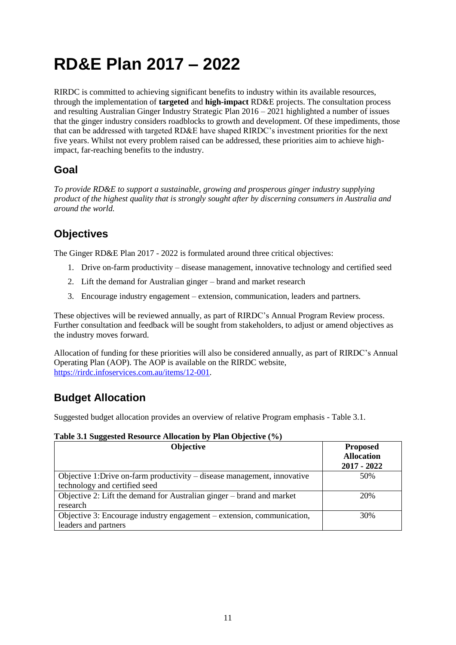## **RD&E Plan 2017 – 2022**

RIRDC is committed to achieving significant benefits to industry within its available resources, through the implementation of **targeted** and **high-impact** RD&E projects. The consultation process and resulting Australian Ginger Industry Strategic Plan 2016 – 2021 highlighted a number of issues that the ginger industry considers roadblocks to growth and development. Of these impediments, those that can be addressed with targeted RD&E have shaped RIRDC's investment priorities for the next five years. Whilst not every problem raised can be addressed, these priorities aim to achieve highimpact, far-reaching benefits to the industry.

## **Goal**

*To provide RD&E to support a sustainable, growing and prosperous ginger industry supplying product of the highest quality that is strongly sought after by discerning consumers in Australia and around the world.*

## **Objectives**

The Ginger RD&E Plan 2017 - 2022 is formulated around three critical objectives:

- 1. Drive on-farm productivity disease management, innovative technology and certified seed
- 2. Lift the demand for Australian ginger brand and market research
- 3. Encourage industry engagement extension, communication, leaders and partners.

These objectives will be reviewed annually, as part of RIRDC's Annual Program Review process. Further consultation and feedback will be sought from stakeholders, to adjust or amend objectives as the industry moves forward.

Allocation of funding for these priorities will also be considered annually, as part of RIRDC's Annual Operating Plan (AOP). The AOP is available on the RIRDC website, [https://rirdc.infoservices.com.au/items/12-001.](https://rirdc.infoservices.com.au/items/12-001)

## **Budget Allocation**

Suggested budget allocation provides an overview of relative Program emphasis - Table 3.1.

#### **Table 3.1 Suggested Resource Allocation by Plan Objective (%)**

| <b>Objective</b>                                                                                         | <b>Proposed</b><br><b>Allocation</b><br>$2017 - 2022$ |
|----------------------------------------------------------------------------------------------------------|-------------------------------------------------------|
| Objective 1:Drive on-farm productivity – disease management, innovative<br>technology and certified seed | 50%                                                   |
| Objective 2: Lift the demand for Australian ginger – brand and market<br>research                        | 20%                                                   |
| Objective 3: Encourage industry engagement – extension, communication,<br>leaders and partners           | 30%                                                   |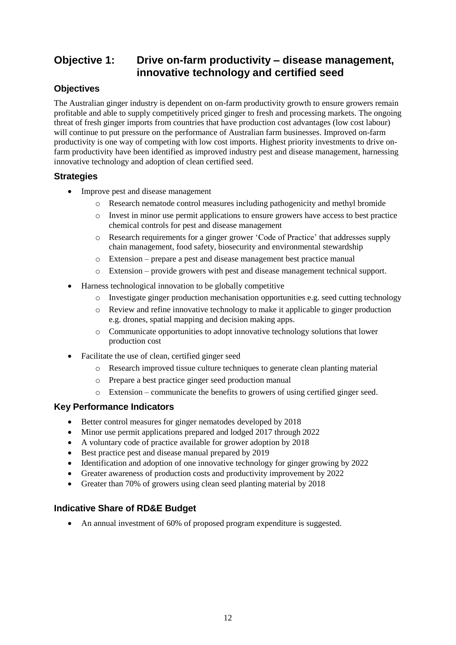## **Objective 1: Drive on-farm productivity – disease management, innovative technology and certified seed**

#### **Objectives**

The Australian ginger industry is dependent on on-farm productivity growth to ensure growers remain profitable and able to supply competitively priced ginger to fresh and processing markets. The ongoing threat of fresh ginger imports from countries that have production cost advantages (low cost labour) will continue to put pressure on the performance of Australian farm businesses. Improved on-farm productivity is one way of competing with low cost imports. Highest priority investments to drive onfarm productivity have been identified as improved industry pest and disease management, harnessing innovative technology and adoption of clean certified seed.

#### **Strategies**

- Improve pest and disease management
	- o Research nematode control measures including pathogenicity and methyl bromide
	- o Invest in minor use permit applications to ensure growers have access to best practice chemical controls for pest and disease management
	- o Research requirements for a ginger grower 'Code of Practice' that addresses supply chain management, food safety, biosecurity and environmental stewardship
	- o Extension prepare a pest and disease management best practice manual
	- o Extension provide growers with pest and disease management technical support.
- Harness technological innovation to be globally competitive
	- o Investigate ginger production mechanisation opportunities e.g. seed cutting technology
	- o Review and refine innovative technology to make it applicable to ginger production e.g. drones, spatial mapping and decision making apps.
	- o Communicate opportunities to adopt innovative technology solutions that lower production cost
- Facilitate the use of clean, certified ginger seed
	- o Research improved tissue culture techniques to generate clean planting material
	- o Prepare a best practice ginger seed production manual
	- o Extension communicate the benefits to growers of using certified ginger seed.

#### **Key Performance Indicators**

- Better control measures for ginger nematodes developed by 2018
- Minor use permit applications prepared and lodged 2017 through 2022
- A voluntary code of practice available for grower adoption by 2018
- Best practice pest and disease manual prepared by 2019
- Identification and adoption of one innovative technology for ginger growing by 2022
- Greater awareness of production costs and productivity improvement by 2022
- Greater than 70% of growers using clean seed planting material by 2018

#### **Indicative Share of RD&E Budget**

• An annual investment of 60% of proposed program expenditure is suggested.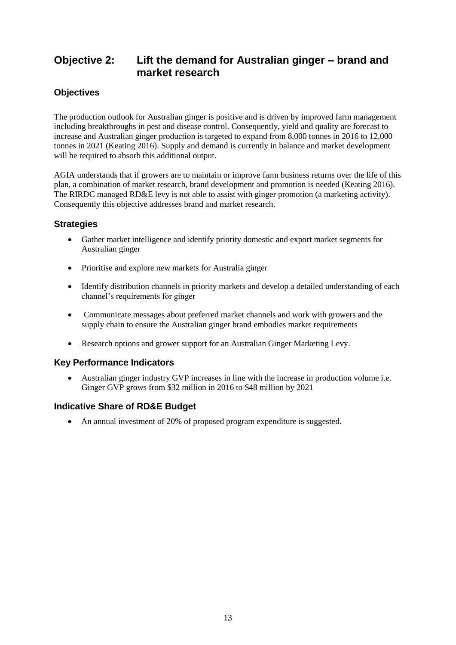### **Objective 2: Lift the demand for Australian ginger – brand and market research**

#### **Objectives**

The production outlook for Australian ginger is positive and is driven by improved farm management including breakthroughs in pest and disease control. Consequently, yield and quality are forecast to increase and Australian ginger production is targeted to expand from 8,000 tonnes in 2016 to 12,000 tonnes in 2021 (Keating 2016). Supply and demand is currently in balance and market development will be required to absorb this additional output.

AGIA understands that if growers are to maintain or improve farm business returns over the life of this plan, a combination of market research, brand development and promotion is needed (Keating 2016). The RIRDC managed RD&E levy is not able to assist with ginger promotion (a marketing activity). Consequently this objective addresses brand and market research.

#### **Strategies**

- Gather market intelligence and identify priority domestic and export market segments for Australian ginger
- Prioritise and explore new markets for Australia ginger
- Identify distribution channels in priority markets and develop a detailed understanding of each channel's requirements for ginger
- Communicate messages about preferred market channels and work with growers and the supply chain to ensure the Australian ginger brand embodies market requirements
- Research options and grower support for an Australian Ginger Marketing Levy.

#### **Key Performance Indicators**

 Australian ginger industry GVP increases in line with the increase in production volume i.e. Ginger GVP grows from \$32 million in 2016 to \$48 million by 2021

#### **Indicative Share of RD&E Budget**

• An annual investment of 20% of proposed program expenditure is suggested.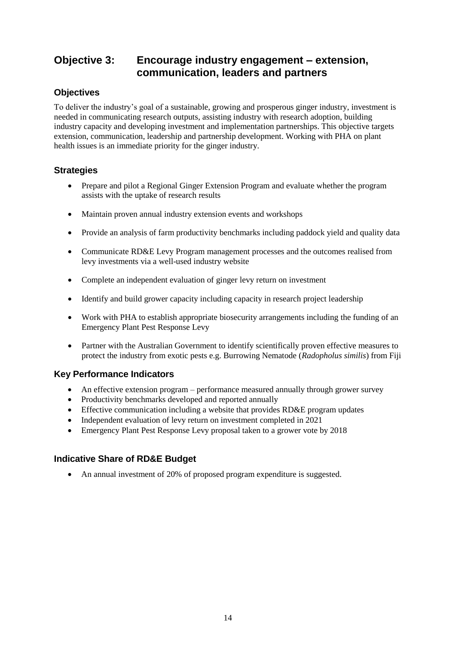### **Objective 3: Encourage industry engagement – extension, communication, leaders and partners**

#### **Objectives**

To deliver the industry's goal of a sustainable, growing and prosperous ginger industry, investment is needed in communicating research outputs, assisting industry with research adoption, building industry capacity and developing investment and implementation partnerships. This objective targets extension, communication, leadership and partnership development. Working with PHA on plant health issues is an immediate priority for the ginger industry.

#### **Strategies**

- Prepare and pilot a Regional Ginger Extension Program and evaluate whether the program assists with the uptake of research results
- Maintain proven annual industry extension events and workshops
- Provide an analysis of farm productivity benchmarks including paddock yield and quality data
- Communicate RD&E Levy Program management processes and the outcomes realised from levy investments via a well-used industry website
- Complete an independent evaluation of ginger levy return on investment
- Identify and build grower capacity including capacity in research project leadership
- Work with PHA to establish appropriate biosecurity arrangements including the funding of an Emergency Plant Pest Response Levy
- Partner with the Australian Government to identify scientifically proven effective measures to protect the industry from exotic pests e.g. Burrowing Nematode (*Radopholus similis*) from Fiji

#### **Key Performance Indicators**

- An effective extension program performance measured annually through grower survey
- Productivity benchmarks developed and reported annually
- Effective communication including a website that provides RD&E program updates
- Independent evaluation of levy return on investment completed in 2021
- Emergency Plant Pest Response Levy proposal taken to a grower vote by 2018

#### **Indicative Share of RD&E Budget**

• An annual investment of 20% of proposed program expenditure is suggested.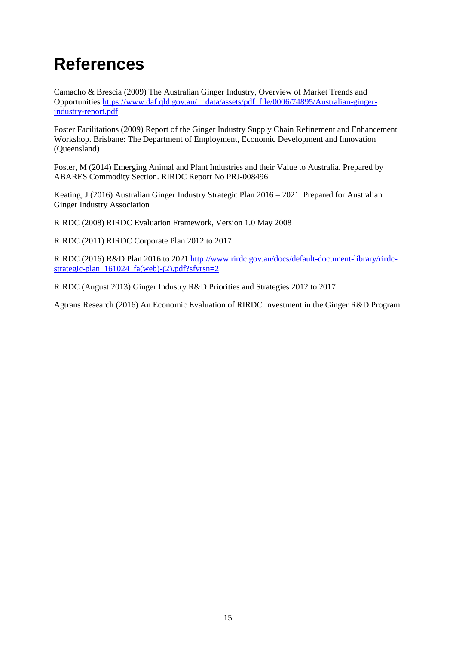## **References**

Camacho & Brescia (2009) The Australian Ginger Industry, Overview of Market Trends and Opportunities [https://www.daf.qld.gov.au/\\_\\_data/assets/pdf\\_file/0006/74895/Australian-ginger](https://www.daf.qld.gov.au/__data/assets/pdf_file/0006/74895/Australian-ginger-industry-report.pdf)[industry-report.pdf](https://www.daf.qld.gov.au/__data/assets/pdf_file/0006/74895/Australian-ginger-industry-report.pdf)

Foster Facilitations (2009) Report of the Ginger Industry Supply Chain Refinement and Enhancement Workshop. Brisbane: The Department of Employment, Economic Development and Innovation (Queensland)

Foster, M (2014) Emerging Animal and Plant Industries and their Value to Australia. Prepared by ABARES Commodity Section. RIRDC Report No PRJ-008496

Keating, J (2016) Australian Ginger Industry Strategic Plan 2016 – 2021. Prepared for Australian Ginger Industry Association

RIRDC (2008) RIRDC Evaluation Framework, Version 1.0 May 2008

RIRDC (2011) RIRDC Corporate Plan 2012 to 2017

RIRDC (2016) R&D Plan 2016 to 202[1 http://www.rirdc.gov.au/docs/default-document-library/rirdc](http://www.rirdc.gov.au/docs/default-document-library/rirdc-strategic-plan_161024_fa(web)-(2).pdf?sfvrsn=2)[strategic-plan\\_161024\\_fa\(web\)-\(2\).pdf?sfvrsn=2](http://www.rirdc.gov.au/docs/default-document-library/rirdc-strategic-plan_161024_fa(web)-(2).pdf?sfvrsn=2)

RIRDC (August 2013) Ginger Industry R&D Priorities and Strategies 2012 to 2017

Agtrans Research (2016) An Economic Evaluation of RIRDC Investment in the Ginger R&D Program